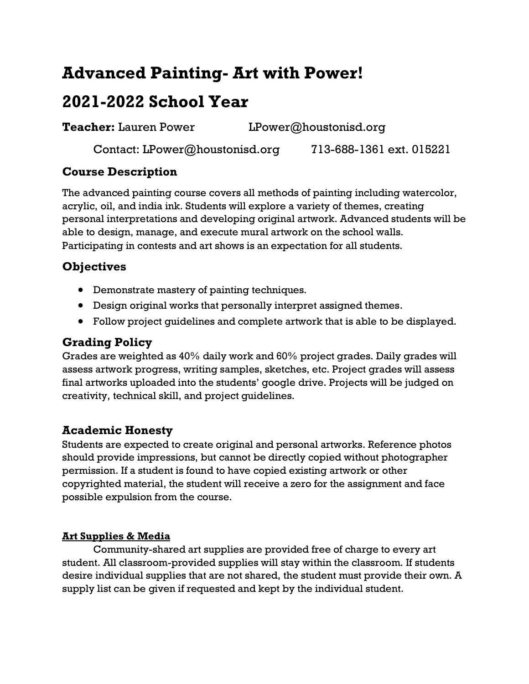# **Advanced Painting- Art with Power!**

## **2021-2022 School Year**

**Teacher:** Lauren Power LPower@houstonisd.org

Contact: LPower@houstonisd.org 713-688-1361 ext. 015221

#### **Course Description**

The advanced painting course covers all methods of painting including watercolor, acrylic, oil, and india ink. Students will explore a variety of themes, creating personal interpretations and developing original artwork. Advanced students will be able to design, manage, and execute mural artwork on the school walls. Participating in contests and art shows is an expectation for all students.

### **Objectives**

- Demonstrate mastery of painting techniques.
- Design original works that personally interpret assigned themes.
- Follow project guidelines and complete artwork that is able to be displayed.

### **Grading Policy**

Grades are weighted as 40% daily work and 60% project grades. Daily grades will assess artwork progress, writing samples, sketches, etc. Project grades will assess final artworks uploaded into the students' google drive. Projects will be judged on creativity, technical skill, and project guidelines.

### **Academic Honesty**

Students are expected to create original and personal artworks. Reference photos should provide impressions, but cannot be directly copied without photographer permission. If a student is found to have copied existing artwork or other copyrighted material, the student will receive a zero for the assignment and face possible expulsion from the course.

#### **Art Supplies & Media**

Community-shared art supplies are provided free of charge to every art student. All classroom-provided supplies will stay within the classroom. If students desire individual supplies that are not shared, the student must provide their own. A supply list can be given if requested and kept by the individual student.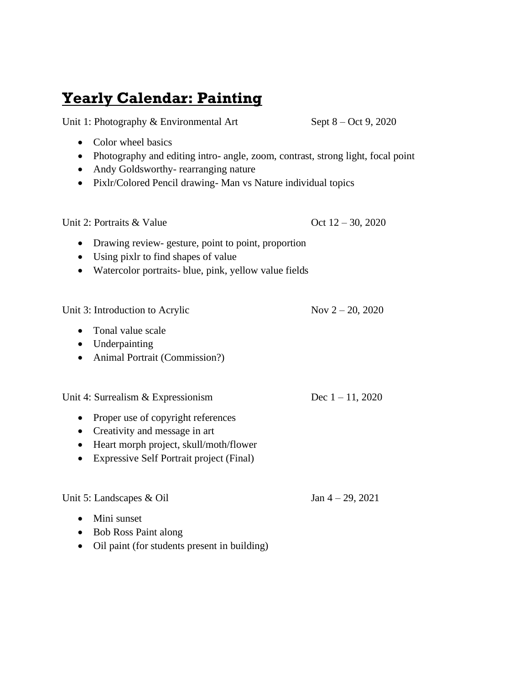## **Yearly Calendar: Painting**

Unit 1: Photography & Environmental Art Sept 8 – Oct 9, 2020

- Color wheel basics
- Photography and editing intro- angle, zoom, contrast, strong light, focal point
- Andy Goldsworthy- rearranging nature
- Pixlr/Colored Pencil drawing- Man vs Nature individual topics

Unit 2: Portraits & Value  $\qquad \qquad \text{Oct } 12-30, 2020$ 

- Drawing review-gesture, point to point, proportion
- Using pixlr to find shapes of value
- Watercolor portraits- blue, pink, yellow value fields

Unit 3: Introduction to Acrylic Nov  $2 - 20$ , 2020

- Tonal value scale
- Underpainting
- Animal Portrait (Commission?)

Unit 4: Surrealism & Expressionism Dec  $1 - 11$ , 2020

- Proper use of copyright references
- Creativity and message in art
- Heart morph project, skull/moth/flower
- Expressive Self Portrait project (Final)

Unit 5: Landscapes & Oil Jan  $4 - 29$ , 2021

- Mini sunset
- Bob Ross Paint along
- Oil paint (for students present in building)